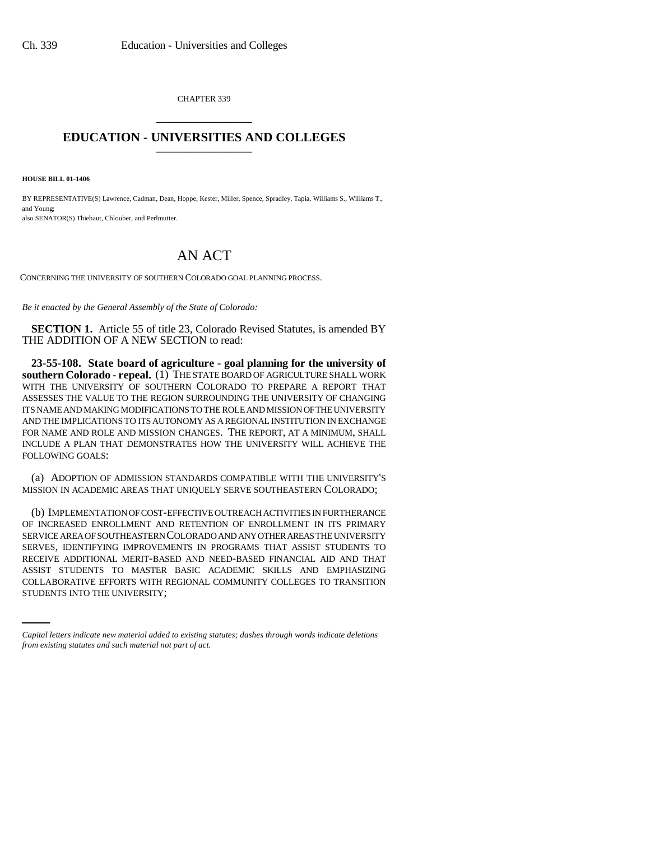CHAPTER 339 \_\_\_\_\_\_\_\_\_\_\_\_\_\_\_

## **EDUCATION - UNIVERSITIES AND COLLEGES** \_\_\_\_\_\_\_\_\_\_\_\_\_\_\_

**HOUSE BILL 01-1406**

BY REPRESENTATIVE(S) Lawrence, Cadman, Dean, Hoppe, Kester, Miller, Spence, Spradley, Tapia, Williams S., Williams T., and Young; also SENATOR(S) Thiebaut, Chlouber, and Perlmutter.

## AN ACT

CONCERNING THE UNIVERSITY OF SOUTHERN COLORADO GOAL PLANNING PROCESS.

*Be it enacted by the General Assembly of the State of Colorado:*

**SECTION 1.** Article 55 of title 23, Colorado Revised Statutes, is amended BY THE ADDITION OF A NEW SECTION to read:

**23-55-108. State board of agriculture - goal planning for the university of southern Colorado - repeal.** (1) THE STATE BOARD OF AGRICULTURE SHALL WORK WITH THE UNIVERSITY OF SOUTHERN COLORADO TO PREPARE A REPORT THAT ASSESSES THE VALUE TO THE REGION SURROUNDING THE UNIVERSITY OF CHANGING ITS NAME AND MAKING MODIFICATIONS TO THE ROLE AND MISSION OF THE UNIVERSITY AND THE IMPLICATIONS TO ITS AUTONOMY AS A REGIONAL INSTITUTION IN EXCHANGE FOR NAME AND ROLE AND MISSION CHANGES. THE REPORT, AT A MINIMUM, SHALL INCLUDE A PLAN THAT DEMONSTRATES HOW THE UNIVERSITY WILL ACHIEVE THE FOLLOWING GOALS:

(a) ADOPTION OF ADMISSION STANDARDS COMPATIBLE WITH THE UNIVERSITY'S MISSION IN ACADEMIC AREAS THAT UNIQUELY SERVE SOUTHEASTERN COLORADO;

ASSIST STUDENTS TO MASTER BASIC ACADEMIC SKILLS AND EMPHASIZING (b) IMPLEMENTATION OF COST-EFFECTIVE OUTREACH ACTIVITIES IN FURTHERANCE OF INCREASED ENROLLMENT AND RETENTION OF ENROLLMENT IN ITS PRIMARY SERVICE AREA OF SOUTHEASTERN COLORADO AND ANY OTHER AREAS THE UNIVERSITY SERVES, IDENTIFYING IMPROVEMENTS IN PROGRAMS THAT ASSIST STUDENTS TO RECEIVE ADDITIONAL MERIT-BASED AND NEED-BASED FINANCIAL AID AND THAT COLLABORATIVE EFFORTS WITH REGIONAL COMMUNITY COLLEGES TO TRANSITION STUDENTS INTO THE UNIVERSITY;

*Capital letters indicate new material added to existing statutes; dashes through words indicate deletions from existing statutes and such material not part of act.*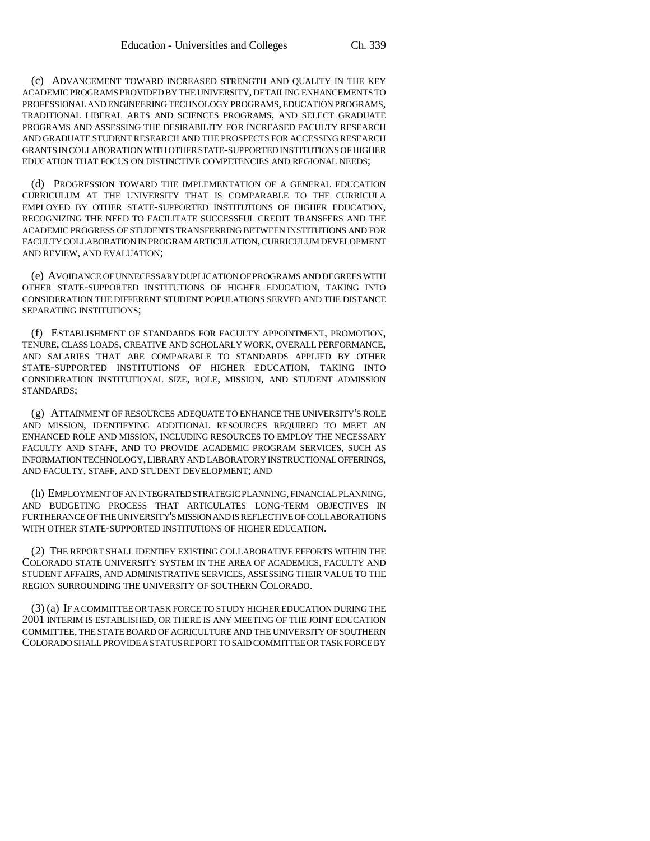(c) ADVANCEMENT TOWARD INCREASED STRENGTH AND QUALITY IN THE KEY ACADEMIC PROGRAMS PROVIDED BY THE UNIVERSITY, DETAILING ENHANCEMENTS TO PROFESSIONAL AND ENGINEERING TECHNOLOGY PROGRAMS, EDUCATION PROGRAMS, TRADITIONAL LIBERAL ARTS AND SCIENCES PROGRAMS, AND SELECT GRADUATE PROGRAMS AND ASSESSING THE DESIRABILITY FOR INCREASED FACULTY RESEARCH AND GRADUATE STUDENT RESEARCH AND THE PROSPECTS FOR ACCESSING RESEARCH GRANTS IN COLLABORATION WITH OTHER STATE-SUPPORTED INSTITUTIONS OF HIGHER EDUCATION THAT FOCUS ON DISTINCTIVE COMPETENCIES AND REGIONAL NEEDS;

(d) PROGRESSION TOWARD THE IMPLEMENTATION OF A GENERAL EDUCATION CURRICULUM AT THE UNIVERSITY THAT IS COMPARABLE TO THE CURRICULA EMPLOYED BY OTHER STATE-SUPPORTED INSTITUTIONS OF HIGHER EDUCATION, RECOGNIZING THE NEED TO FACILITATE SUCCESSFUL CREDIT TRANSFERS AND THE ACADEMIC PROGRESS OF STUDENTS TRANSFERRING BETWEEN INSTITUTIONS AND FOR FACULTY COLLABORATION IN PROGRAM ARTICULATION, CURRICULUM DEVELOPMENT AND REVIEW, AND EVALUATION;

(e) AVOIDANCE OF UNNECESSARY DUPLICATION OF PROGRAMS AND DEGREES WITH OTHER STATE-SUPPORTED INSTITUTIONS OF HIGHER EDUCATION, TAKING INTO CONSIDERATION THE DIFFERENT STUDENT POPULATIONS SERVED AND THE DISTANCE SEPARATING INSTITUTIONS;

(f) ESTABLISHMENT OF STANDARDS FOR FACULTY APPOINTMENT, PROMOTION, TENURE, CLASS LOADS, CREATIVE AND SCHOLARLY WORK, OVERALL PERFORMANCE, AND SALARIES THAT ARE COMPARABLE TO STANDARDS APPLIED BY OTHER STATE-SUPPORTED INSTITUTIONS OF HIGHER EDUCATION, TAKING INTO CONSIDERATION INSTITUTIONAL SIZE, ROLE, MISSION, AND STUDENT ADMISSION STANDARDS;

(g) ATTAINMENT OF RESOURCES ADEQUATE TO ENHANCE THE UNIVERSITY'S ROLE AND MISSION, IDENTIFYING ADDITIONAL RESOURCES REQUIRED TO MEET AN ENHANCED ROLE AND MISSION, INCLUDING RESOURCES TO EMPLOY THE NECESSARY FACULTY AND STAFF, AND TO PROVIDE ACADEMIC PROGRAM SERVICES, SUCH AS INFORMATION TECHNOLOGY, LIBRARY AND LABORATORY INSTRUCTIONAL OFFERINGS, AND FACULTY, STAFF, AND STUDENT DEVELOPMENT; AND

(h) EMPLOYMENT OF AN INTEGRATED STRATEGIC PLANNING, FINANCIAL PLANNING, AND BUDGETING PROCESS THAT ARTICULATES LONG-TERM OBJECTIVES IN FURTHERANCE OF THE UNIVERSITY'S MISSION AND IS REFLECTIVE OF COLLABORATIONS WITH OTHER STATE-SUPPORTED INSTITUTIONS OF HIGHER EDUCATION.

(2) THE REPORT SHALL IDENTIFY EXISTING COLLABORATIVE EFFORTS WITHIN THE COLORADO STATE UNIVERSITY SYSTEM IN THE AREA OF ACADEMICS, FACULTY AND STUDENT AFFAIRS, AND ADMINISTRATIVE SERVICES, ASSESSING THEIR VALUE TO THE REGION SURROUNDING THE UNIVERSITY OF SOUTHERN COLORADO.

(3) (a) IF A COMMITTEE OR TASK FORCE TO STUDY HIGHER EDUCATION DURING THE 2001 INTERIM IS ESTABLISHED, OR THERE IS ANY MEETING OF THE JOINT EDUCATION COMMITTEE, THE STATE BOARD OF AGRICULTURE AND THE UNIVERSITY OF SOUTHERN COLORADO SHALL PROVIDE A STATUS REPORT TO SAID COMMITTEE OR TASK FORCE BY